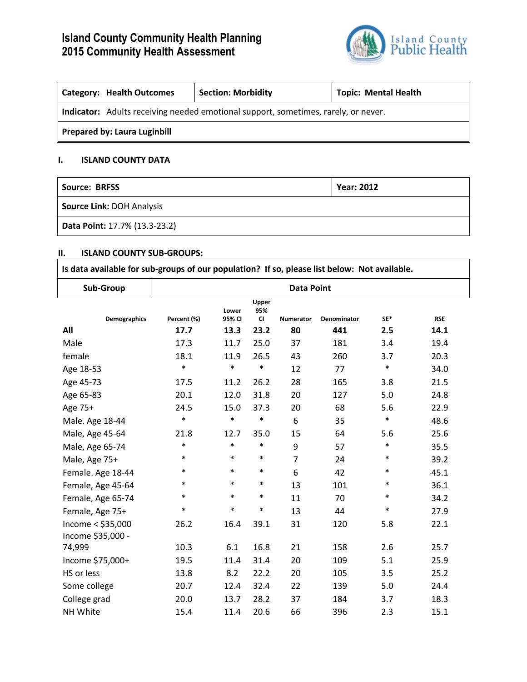# **Island County Community Health Planning 2015 Community Health Assessment**



| <b>Category: Health Outcomes</b>                                                   | <b>Section: Morbidity</b> | <b>Topic: Mental Health</b> |  |  |  |  |
|------------------------------------------------------------------------------------|---------------------------|-----------------------------|--|--|--|--|
| Indicator: Adults receiving needed emotional support, sometimes, rarely, or never. |                           |                             |  |  |  |  |
| <b>Prepared by: Laura Luginbill</b>                                                |                           |                             |  |  |  |  |

## **I. ISLAND COUNTY DATA**

| Source: BRFSS                 | <b>Year: 2012</b> |
|-------------------------------|-------------------|
| Source Link: DOH Analysis     |                   |
| Data Point: 17.7% (13.3-23.2) |                   |

### **II. ISLAND COUNTY SUB-GROUPS:**

| Is data available for sub-groups of our population? If so, please list below: Not available. |                   |                 |                           |                  |             |        |            |
|----------------------------------------------------------------------------------------------|-------------------|-----------------|---------------------------|------------------|-------------|--------|------------|
| Sub-Group                                                                                    | <b>Data Point</b> |                 |                           |                  |             |        |            |
| <b>Demographics</b>                                                                          | Percent (%)       | Lower<br>95% CI | Upper<br>95%<br><b>CI</b> | <b>Numerator</b> | Denominator | SE*    | <b>RSE</b> |
| All                                                                                          | 17.7              | 13.3            | 23.2                      | 80               | 441         | 2.5    | 14.1       |
| Male                                                                                         | 17.3              | 11.7            | 25.0                      | 37               | 181         | 3.4    | 19.4       |
| female                                                                                       | 18.1              | 11.9            | 26.5                      | 43               | 260         | 3.7    | 20.3       |
| Age 18-53                                                                                    | $\ast$            | $\ast$          | $\ast$                    | 12               | 77          | $\ast$ | 34.0       |
| Age 45-73                                                                                    | 17.5              | 11.2            | 26.2                      | 28               | 165         | 3.8    | 21.5       |
| Age 65-83                                                                                    | 20.1              | 12.0            | 31.8                      | 20               | 127         | 5.0    | 24.8       |
| Age 75+                                                                                      | 24.5              | 15.0            | 37.3                      | 20               | 68          | 5.6    | 22.9       |
| Male. Age 18-44                                                                              | $\ast$            | $\ast$          | $\ast$                    | 6                | 35          | $\ast$ | 48.6       |
| Male, Age 45-64                                                                              | 21.8              | 12.7            | 35.0                      | 15               | 64          | 5.6    | 25.6       |
| Male, Age 65-74                                                                              | $\ast$            | $\ast$          | $\ast$                    | 9                | 57          | $\ast$ | 35.5       |
| Male, Age 75+                                                                                | $\ast$            | $\ast$          | $\ast$                    | $\overline{7}$   | 24          | $\ast$ | 39.2       |
| Female. Age 18-44                                                                            | $\ast$            | $\ast$          | $\ast$                    | 6                | 42          | $\ast$ | 45.1       |
| Female, Age 45-64                                                                            | $\ast$            | $\ast$          | $\ast$                    | 13               | 101         | $\ast$ | 36.1       |
| Female, Age 65-74                                                                            | $\ast$            | $\ast$          | $\ast$                    | 11               | 70          | $\ast$ | 34.2       |
| Female, Age 75+                                                                              | $\ast$            | $\ast$          | $\ast$                    | 13               | 44          | $\ast$ | 27.9       |
| Income < \$35,000<br>Income \$35,000 -                                                       | 26.2              | 16.4            | 39.1                      | 31               | 120         | 5.8    | 22.1       |
| 74,999                                                                                       | 10.3              | 6.1             | 16.8                      | 21               | 158         | 2.6    | 25.7       |
| Income \$75,000+                                                                             | 19.5              | 11.4            | 31.4                      | 20               | 109         | 5.1    | 25.9       |
| HS or less                                                                                   | 13.8              | 8.2             | 22.2                      | 20               | 105         | 3.5    | 25.2       |
| Some college                                                                                 | 20.7              | 12.4            | 32.4                      | 22               | 139         | 5.0    | 24.4       |
| College grad                                                                                 | 20.0              | 13.7            | 28.2                      | 37               | 184         | 3.7    | 18.3       |
| NH White                                                                                     | 15.4              | 11.4            | 20.6                      | 66               | 396         | 2.3    | 15.1       |